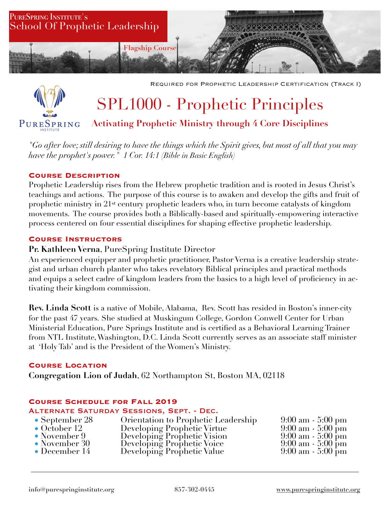



Required for Prophetic Leadership Certification (Track I)

# SPL1000 - Prophetic Principles

# **Activating Prophetic Ministry through 4 Core Disciplines**

*"Go after love; still desiring to have the things which the Spirit gives, but most of all that you may have the prophet's power." 1 Cor. 14:1 (Bible in Basic English)*

#### **Course Description**

Prophetic Leadership rises from the Hebrew prophetic tradition and is rooted in Jesus Christ's teachings and actions. The purpose of this course is to awaken and develop the gifts and fruit of prophetic ministry in 21st century prophetic leaders who, in turn become catalysts of kingdom movements. The course provides both a Biblically-based and spiritually-empowering interactive process centered on four essential disciplines for shaping effective prophetic leadership.

#### **Course Instructors**

## **Pr. Kathleen Verna**, PureSpring Institute Director

An experienced equipper and prophetic practitioner, Pastor Verna is a creative leadership strategist and urban church planter who takes revelatory Biblical principles and practical methods and equips a select cadre of kingdom leaders from the basics to a high level of proficiency in activating their kingdom commission.

**Rev. Linda Scott** is a native of Mobile, Alabama, Rev. Scott has resided in Boston's inner-city for the past 47 years. She studied at Muskingum College, Gordon Conwell Center for Urban Ministerial Education, Pure Springs Institute and is certified as a Behavioral Learning Trainer from NTL Institute, Washington, D.C. Linda Scott currently serves as an associate staff minister at 'Holy Tab' and is the President of the Women's Ministry.

#### **Course Location**

**Congregation Lion of Judah**, 62 Northampton St, Boston MA, 02118

#### **Course Schedule for Fall 2019**

#### Alternate Saturday Sessions, Sept. - Dec.

| • September 28  | Orientation to Prophetic Leadership                                                                                    | $9:00 \text{ am} - 5:00 \text{ pm}$ |
|-----------------|------------------------------------------------------------------------------------------------------------------------|-------------------------------------|
| • October 12    |                                                                                                                        | $9:00 \text{ am} - 5:00 \text{ pm}$ |
| • November 9    |                                                                                                                        | $9:00 \text{ am} - 5:00 \text{ pm}$ |
| • November $30$ |                                                                                                                        | $9:00 \text{ am} - 5:00 \text{ pm}$ |
| • December $14$ | Developing Prophetic Virtue<br>Developing Prophetic Vision<br>Developing Prophetic Voice<br>Developing Prophetic Value | $9:00 \text{ am} - 5:00 \text{ pm}$ |